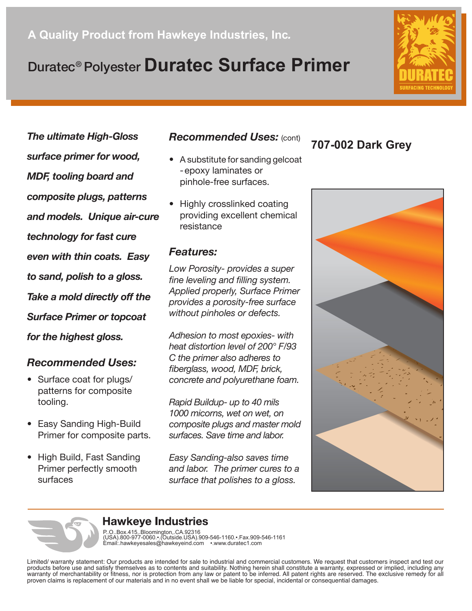# Duratec® Polyester **Duratec Surface Primer**

*The ultimate High-Gloss surface primer for wood, MDF, tooling board and composite plugs, patterns and models. Unique air-cure technology for fast cure even with thin coats. Easy to sand, polish to a gloss. Take a mold directly off the Surface Primer or topcoat for the highest gloss.*

### *Recommended Uses:*

- Surface coat for plugs/ patterns for composite tooling.
- Easy Sanding High-Build Primer for composite parts.
- High Build, Fast Sanding Primer perfectly smooth surfaces

## *Recommended Uses:* (cont)

- A substitute for sanding gelcoat -epoxy laminates or pinhole-free surfaces.
- Highly crosslinked coating providing excellent chemical resistance

### *Features:*

*Low Porosity- provides a super fine leveling and filling system. Applied properly, Surface Primer provides a porosity-free surface without pinholes or defects.*

*Adhesion to most epoxies- with heat distortion level of 200° F/93 C the primer also adheres to fiberglass, wood, MDF, brick, concrete and polyurethane foam.*

*Rapid Buildup- up to 40 mils 1000 micorns, wet on wet, on composite plugs and master mold surfaces. Save time and labor.*

*Easy Sanding-also saves time and labor. The primer cures to a surface that polishes to a gloss.*

## **707-002 Dark Grey**





## **Hawkeye Industries**

P. O. Box 415, Bloomington, CA 92316<br>(USA) 800-977-0060.•.(Outside USA) 909-546-1160.•.Fax 909-546-1161<br>Email∷hawkeyesales@hawkeyeind.com •.www.duratec1.com

Limited/ warranty statement: Our products are intended for sale to industrial and commercial customers. We request that customers inspect and test our products before use and satisfy themselves as to contents and suitability. Nothing herein shall constitute a warranty, expressed or implied, including any warranty of merchantability or fitness, nor is protection from any law or patent to be inferred. All patent rights are reserved. The exclusive remedy for all proven claims is replacement of our materials and in no event shall we be liable for special, incidental or consequential damages.